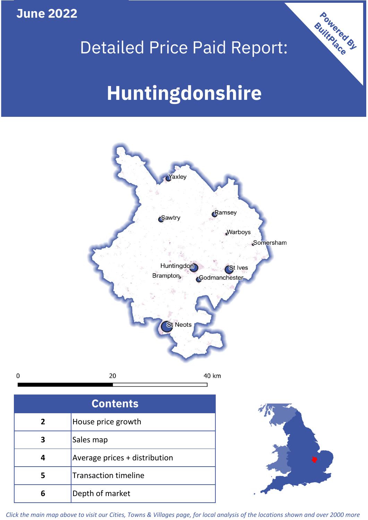**June 2022**

 $\mathbf 0$ 





| <b>Contents</b> |                               |  |  |  |
|-----------------|-------------------------------|--|--|--|
| $\mathbf{2}$    | House price growth            |  |  |  |
| 3               | Sales map                     |  |  |  |
| 4               | Average prices + distribution |  |  |  |
| 5               | <b>Transaction timeline</b>   |  |  |  |
|                 | Depth of market               |  |  |  |



*Click the main map above to visit our Cities, Towns & Villages page, for local analysis of the locations shown and over 2000 more*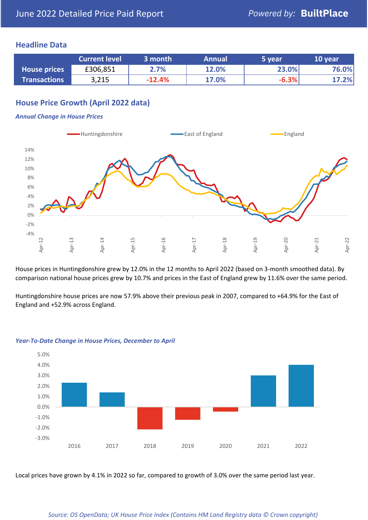## **Headline Data**

|                     | <b>Current level</b> | 3 month  | <b>Annual</b> | 5 year  | 10 year |
|---------------------|----------------------|----------|---------------|---------|---------|
| <b>House prices</b> | £306,851             | 2.7%     | 12.0%         | 23.0%   | 76.0%   |
| <b>Transactions</b> | 3,215                | $-12.4%$ | 17.0%         | $-6.3%$ | 17.2%   |

## **House Price Growth (April 2022 data)**

#### *Annual Change in House Prices*



House prices in Huntingdonshire grew by 12.0% in the 12 months to April 2022 (based on 3-month smoothed data). By comparison national house prices grew by 10.7% and prices in the East of England grew by 11.6% over the same period.

Huntingdonshire house prices are now 57.9% above their previous peak in 2007, compared to +64.9% for the East of England and +52.9% across England.



### *Year-To-Date Change in House Prices, December to April*

Local prices have grown by 4.1% in 2022 so far, compared to growth of 3.0% over the same period last year.

#### *Source: OS OpenData; UK House Price Index (Contains HM Land Registry data © Crown copyright)*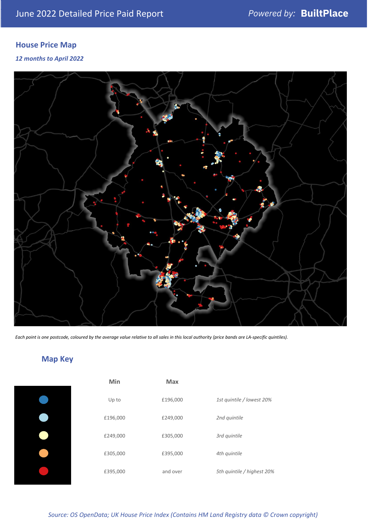## **House Price Map**

*12 months to April 2022*



*Each point is one postcode, coloured by the average value relative to all sales in this local authority (price bands are LA-specific quintiles).*

# **Map Key**

| Min      | Max      |                            |
|----------|----------|----------------------------|
| Up to    | £196,000 | 1st quintile / lowest 20%  |
| £196,000 | £249,000 | 2nd quintile               |
| £249,000 | £305,000 | 3rd quintile               |
| £305,000 | £395,000 | 4th quintile               |
| £395,000 | and over | 5th quintile / highest 20% |

*Source: OS OpenData; UK House Price Index (Contains HM Land Registry data © Crown copyright)*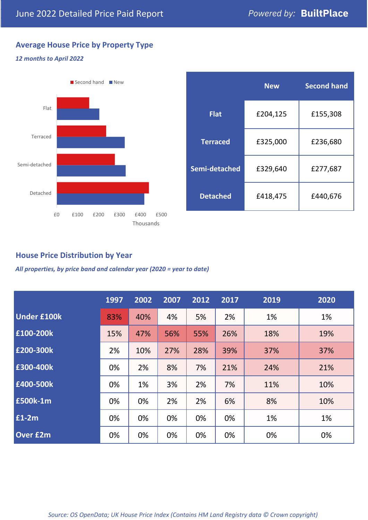## **Average House Price by Property Type**

## *12 months to April 2022*



|                 | <b>New</b> | <b>Second hand</b> |  |  |
|-----------------|------------|--------------------|--|--|
| <b>Flat</b>     | £204,125   | £155,308           |  |  |
| <b>Terraced</b> | £325,000   | £236,680           |  |  |
| Semi-detached   | £329,640   | £277,687           |  |  |
| <b>Detached</b> | £418,475   | £440,676           |  |  |

## **House Price Distribution by Year**

*All properties, by price band and calendar year (2020 = year to date)*

|                    | 1997 | 2002 | 2007 | 2012 | 2017 | 2019 | 2020 |
|--------------------|------|------|------|------|------|------|------|
| <b>Under £100k</b> | 83%  | 40%  | 4%   | 5%   | 2%   | 1%   | 1%   |
| £100-200k          | 15%  | 47%  | 56%  | 55%  | 26%  | 18%  | 19%  |
| E200-300k          | 2%   | 10%  | 27%  | 28%  | 39%  | 37%  | 37%  |
| £300-400k          | 0%   | 2%   | 8%   | 7%   | 21%  | 24%  | 21%  |
| £400-500k          | 0%   | 1%   | 3%   | 2%   | 7%   | 11%  | 10%  |
| <b>£500k-1m</b>    | 0%   | 0%   | 2%   | 2%   | 6%   | 8%   | 10%  |
| £1-2m              | 0%   | 0%   | 0%   | 0%   | 0%   | 1%   | 1%   |
| <b>Over £2m</b>    | 0%   | 0%   | 0%   | 0%   | 0%   | 0%   | 0%   |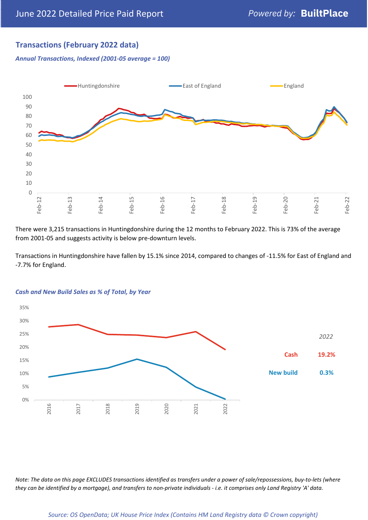## **Transactions (February 2022 data)**

*Annual Transactions, Indexed (2001-05 average = 100)*



There were 3,215 transactions in Huntingdonshire during the 12 months to February 2022. This is 73% of the average from 2001-05 and suggests activity is below pre-downturn levels.

Transactions in Huntingdonshire have fallen by 15.1% since 2014, compared to changes of -11.5% for East of England and -7.7% for England.



#### *Cash and New Build Sales as % of Total, by Year*

*Note: The data on this page EXCLUDES transactions identified as transfers under a power of sale/repossessions, buy-to-lets (where they can be identified by a mortgage), and transfers to non-private individuals - i.e. it comprises only Land Registry 'A' data.*